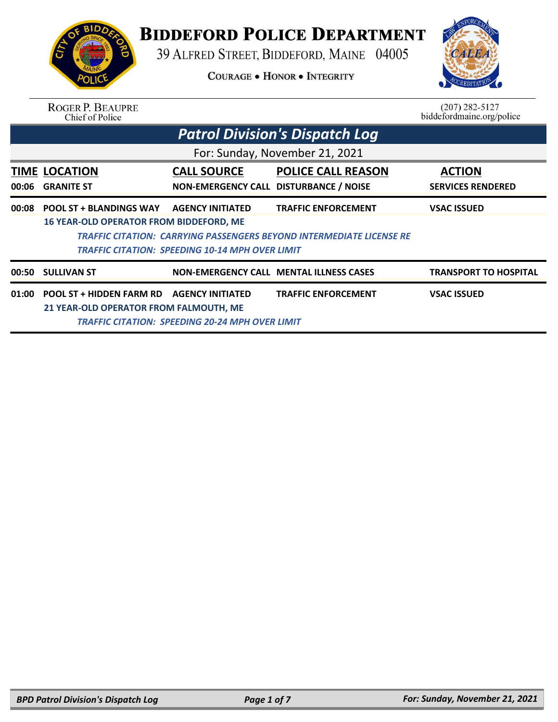

## **BIDDEFORD POLICE DEPARTMENT**

39 ALFRED STREET, BIDDEFORD, MAINE 04005

**COURAGE . HONOR . INTEGRITY** 



| <b>ROGER P. BEAUPRE</b> |
|-------------------------|
| Chief of Police         |

 $(207)$  282-5127 biddefordmaine.org/police

|       | <b>Patrol Division's Dispatch Log</b>                                |                                                              |                                                |                                           |  |  |  |
|-------|----------------------------------------------------------------------|--------------------------------------------------------------|------------------------------------------------|-------------------------------------------|--|--|--|
|       | For: Sunday, November 21, 2021                                       |                                                              |                                                |                                           |  |  |  |
| 00:06 | <b>TIME LOCATION</b><br><b>GRANITE ST</b>                            | <b>CALL SOURCE</b><br>NON-EMERGENCY CALL DISTURBANCE / NOISE | <b>POLICE CALL REASON</b>                      | <b>ACTION</b><br><b>SERVICES RENDERED</b> |  |  |  |
| 00:08 | <b>POOL ST + BLANDINGS WAY</b>                                       | <b>AGENCY INITIATED</b>                                      | <b>TRAFFIC ENFORCEMENT</b>                     | <b>VSAC ISSUED</b>                        |  |  |  |
|       | <b>16 YEAR-OLD OPERATOR FROM BIDDEFORD, ME</b>                       |                                                              |                                                |                                           |  |  |  |
|       | TRAFFIC CITATION: CARRYING PASSENGERS BEYOND INTERMEDIATE LICENSE RE |                                                              |                                                |                                           |  |  |  |
|       | TRAFFIC CITATION: SPEEDING 10-14 MPH OVER LIMIT                      |                                                              |                                                |                                           |  |  |  |
| 00:50 | <b>SULLIVAN ST</b>                                                   |                                                              | <b>NON-EMERGENCY CALL MENTAL ILLNESS CASES</b> | TRANSPORT TO HOSPITAL                     |  |  |  |
| 01:00 | POOL ST + HIDDEN FARM RD                                             | <b>AGENCY INITIATED</b>                                      | <b>TRAFFIC ENFORCEMENT</b>                     | <b>VSAC ISSUED</b>                        |  |  |  |
|       | 21 YEAR-OLD OPERATOR FROM FALMOUTH, ME                               |                                                              |                                                |                                           |  |  |  |
|       | TRAFFIC CITATION: SPEEDING 20-24 MPH OVER LIMIT                      |                                                              |                                                |                                           |  |  |  |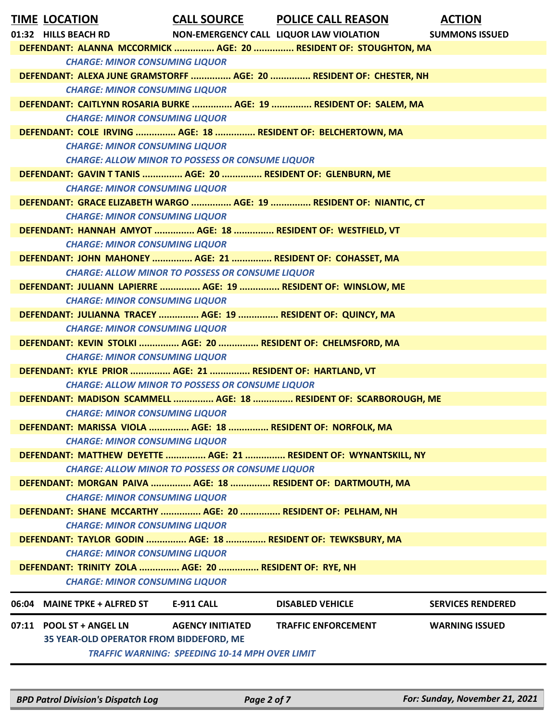| <b>TIME LOCATION</b><br>01:32 HILLS BEACH RD                     |                                                         | <b>CALL SOURCE POLICE CALL REASON</b><br>NON-EMERGENCY CALL LIQUOR LAW VIOLATION | <b>ACTION</b><br><b>SUMMONS ISSUED</b> |  |  |
|------------------------------------------------------------------|---------------------------------------------------------|----------------------------------------------------------------------------------|----------------------------------------|--|--|
| DEFENDANT: ALANNA MCCORMICK  AGE: 20  RESIDENT OF: STOUGHTON, MA |                                                         |                                                                                  |                                        |  |  |
| <b>CHARGE: MINOR CONSUMING LIQUOR</b>                            |                                                         |                                                                                  |                                        |  |  |
|                                                                  |                                                         | DEFENDANT: ALEXA JUNE GRAMSTORFF  AGE: 20  RESIDENT OF: CHESTER, NH              |                                        |  |  |
| <b>CHARGE: MINOR CONSUMING LIQUOR</b>                            |                                                         |                                                                                  |                                        |  |  |
|                                                                  |                                                         | DEFENDANT: CAITLYNN ROSARIA BURKE  AGE: 19  RESIDENT OF: SALEM, MA               |                                        |  |  |
| <b>CHARGE: MINOR CONSUMING LIQUOR</b>                            |                                                         |                                                                                  |                                        |  |  |
| DEFENDANT: COLE IRVING  AGE: 18  RESIDENT OF: BELCHERTOWN, MA    |                                                         |                                                                                  |                                        |  |  |
| <b>CHARGE: MINOR CONSUMING LIQUOR</b>                            |                                                         |                                                                                  |                                        |  |  |
|                                                                  | <b>CHARGE: ALLOW MINOR TO POSSESS OR CONSUME LIQUOR</b> |                                                                                  |                                        |  |  |
| DEFENDANT: GAVIN T TANIS  AGE: 20  RESIDENT OF: GLENBURN, ME     |                                                         |                                                                                  |                                        |  |  |
| <b>CHARGE: MINOR CONSUMING LIQUOR</b>                            |                                                         |                                                                                  |                                        |  |  |
|                                                                  |                                                         | DEFENDANT: GRACE ELIZABETH WARGO  AGE: 19  RESIDENT OF: NIANTIC, CT              |                                        |  |  |
| <b>CHARGE: MINOR CONSUMING LIQUOR</b>                            |                                                         |                                                                                  |                                        |  |  |
| DEFENDANT: HANNAH AMYOT  AGE: 18  RESIDENT OF: WESTFIELD, VT     |                                                         |                                                                                  |                                        |  |  |
| <b>CHARGE: MINOR CONSUMING LIQUOR</b>                            |                                                         |                                                                                  |                                        |  |  |
| DEFENDANT: JOHN MAHONEY  AGE: 21  RESIDENT OF: COHASSET, MA      |                                                         |                                                                                  |                                        |  |  |
|                                                                  | <b>CHARGE: ALLOW MINOR TO POSSESS OR CONSUME LIQUOR</b> |                                                                                  |                                        |  |  |
| DEFENDANT: JULIANN LAPIERRE  AGE: 19  RESIDENT OF: WINSLOW, ME   |                                                         |                                                                                  |                                        |  |  |
| <b>CHARGE: MINOR CONSUMING LIQUOR</b>                            |                                                         |                                                                                  |                                        |  |  |
| DEFENDANT: JULIANNA TRACEY  AGE: 19  RESIDENT OF: QUINCY, MA     |                                                         |                                                                                  |                                        |  |  |
| <b>CHARGE: MINOR CONSUMING LIQUOR</b>                            |                                                         |                                                                                  |                                        |  |  |
| DEFENDANT: KEVIN STOLKI  AGE: 20  RESIDENT OF: CHELMSFORD, MA    |                                                         |                                                                                  |                                        |  |  |
| <b>CHARGE: MINOR CONSUMING LIQUOR</b>                            |                                                         |                                                                                  |                                        |  |  |
| DEFENDANT: KYLE PRIOR  AGE: 21  RESIDENT OF: HARTLAND, VT        |                                                         |                                                                                  |                                        |  |  |
|                                                                  | <b>CHARGE: ALLOW MINOR TO POSSESS OR CONSUME LIQUOR</b> |                                                                                  |                                        |  |  |
|                                                                  |                                                         | DEFENDANT: MADISON SCAMMELL  AGE: 18  RESIDENT OF: SCARBOROUGH, ME               |                                        |  |  |
| <b>CHARGE: MINOR CONSUMING LIQUOR</b>                            |                                                         |                                                                                  |                                        |  |  |
| DEFENDANT: MARISSA VIOLA  AGE: 18  RESIDENT OF: NORFOLK, MA      |                                                         |                                                                                  |                                        |  |  |
| <b>CHARGE: MINOR CONSUMING LIQUOR</b>                            |                                                         |                                                                                  |                                        |  |  |
|                                                                  |                                                         | DEFENDANT: MATTHEW DEYETTE  AGE: 21  RESIDENT OF: WYNANTSKILL, NY                |                                        |  |  |
|                                                                  | <b>CHARGE: ALLOW MINOR TO POSSESS OR CONSUME LIQUOR</b> |                                                                                  |                                        |  |  |
| DEFENDANT: MORGAN PAIVA  AGE: 18  RESIDENT OF: DARTMOUTH, MA     |                                                         |                                                                                  |                                        |  |  |
| <b>CHARGE: MINOR CONSUMING LIQUOR</b>                            |                                                         |                                                                                  |                                        |  |  |
| DEFENDANT: SHANE MCCARTHY  AGE: 20  RESIDENT OF: PELHAM, NH      |                                                         |                                                                                  |                                        |  |  |
| <b>CHARGE: MINOR CONSUMING LIQUOR</b>                            |                                                         |                                                                                  |                                        |  |  |
| DEFENDANT: TAYLOR GODIN  AGE: 18  RESIDENT OF: TEWKSBURY, MA     |                                                         |                                                                                  |                                        |  |  |
| <b>CHARGE: MINOR CONSUMING LIQUOR</b>                            |                                                         |                                                                                  |                                        |  |  |
| DEFENDANT: TRINITY ZOLA  AGE: 20  RESIDENT OF: RYE, NH           |                                                         |                                                                                  |                                        |  |  |
| <b>CHARGE: MINOR CONSUMING LIQUOR</b>                            |                                                         |                                                                                  |                                        |  |  |
|                                                                  |                                                         |                                                                                  |                                        |  |  |
| 06:04 MAINE TPKE + ALFRED ST                                     | <b>E-911 CALL</b>                                       | <b>DISABLED VEHICLE</b>                                                          | <b>SERVICES RENDERED</b>               |  |  |
| 07:11 POOL ST + ANGEL LN                                         | <b>AGENCY INITIATED</b>                                 | <b>TRAFFIC ENFORCEMENT</b>                                                       | <b>WARNING ISSUED</b>                  |  |  |
| 35 YEAR-OLD OPERATOR FROM BIDDEFORD, ME                          |                                                         |                                                                                  |                                        |  |  |
|                                                                  | <b>TRAFFIC WARNING: SPEEDING 10-14 MPH OVER LIMIT</b>   |                                                                                  |                                        |  |  |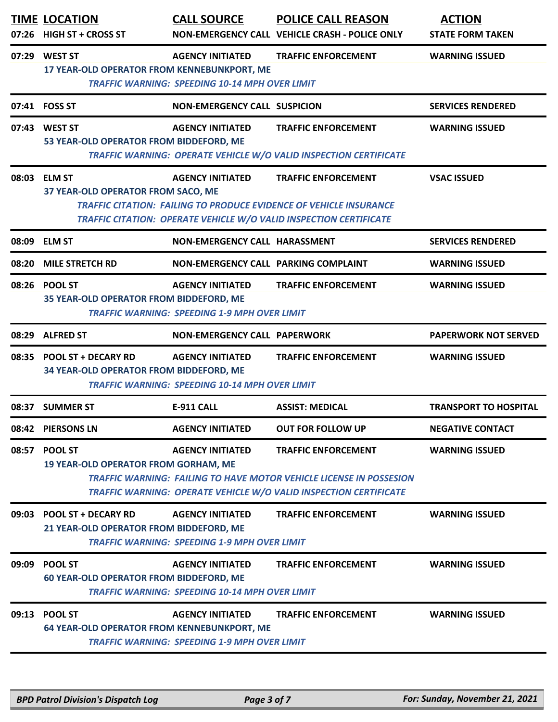|       | <b>TIME LOCATION</b><br>07:26 HIGH ST + CROSS ST                      | <b>CALL SOURCE</b>                                                               | <b>POLICE CALL REASON</b><br>NON-EMERGENCY CALL VEHICLE CRASH - POLICE ONLY                                                                                                          | <b>ACTION</b><br><b>STATE FORM TAKEN</b> |
|-------|-----------------------------------------------------------------------|----------------------------------------------------------------------------------|--------------------------------------------------------------------------------------------------------------------------------------------------------------------------------------|------------------------------------------|
|       | 07:29 WEST ST<br>17 YEAR-OLD OPERATOR FROM KENNEBUNKPORT, ME          | <b>AGENCY INITIATED</b><br><b>TRAFFIC WARNING: SPEEDING 10-14 MPH OVER LIMIT</b> | <b>TRAFFIC ENFORCEMENT</b>                                                                                                                                                           | <b>WARNING ISSUED</b>                    |
|       | 07:41 FOSS ST                                                         | <b>NON-EMERGENCY CALL SUSPICION</b>                                              |                                                                                                                                                                                      | <b>SERVICES RENDERED</b>                 |
|       | 07:43 WEST ST<br>53 YEAR-OLD OPERATOR FROM BIDDEFORD, ME              | <b>AGENCY INITIATED</b>                                                          | <b>TRAFFIC ENFORCEMENT</b><br>TRAFFIC WARNING: OPERATE VEHICLE W/O VALID INSPECTION CERTIFICATE                                                                                      | <b>WARNING ISSUED</b>                    |
| 08:03 | <b>ELM ST</b><br>37 YEAR-OLD OPERATOR FROM SACO, ME                   | <b>AGENCY INITIATED</b>                                                          | <b>TRAFFIC ENFORCEMENT</b><br><b>TRAFFIC CITATION: FAILING TO PRODUCE EVIDENCE OF VEHICLE INSURANCE</b><br><b>TRAFFIC CITATION: OPERATE VEHICLE W/O VALID INSPECTION CERTIFICATE</b> | <b>VSAC ISSUED</b>                       |
| 08:09 | <b>ELM ST</b>                                                         | NON-EMERGENCY CALL HARASSMENT                                                    |                                                                                                                                                                                      | <b>SERVICES RENDERED</b>                 |
| 08:20 | <b>MILE STRETCH RD</b>                                                | NON-EMERGENCY CALL PARKING COMPLAINT                                             |                                                                                                                                                                                      | <b>WARNING ISSUED</b>                    |
| 08:26 | <b>POOL ST</b><br>35 YEAR-OLD OPERATOR FROM BIDDEFORD, ME             | <b>AGENCY INITIATED</b><br><b>TRAFFIC WARNING: SPEEDING 1-9 MPH OVER LIMIT</b>   | <b>TRAFFIC ENFORCEMENT</b>                                                                                                                                                           | <b>WARNING ISSUED</b>                    |
| 08:29 | <b>ALFRED ST</b>                                                      | <b>NON-EMERGENCY CALL PAPERWORK</b>                                              |                                                                                                                                                                                      | <b>PAPERWORK NOT SERVED</b>              |
| 08:35 | <b>POOL ST + DECARY RD</b><br>34 YEAR-OLD OPERATOR FROM BIDDEFORD, ME | <b>AGENCY INITIATED</b><br><b>TRAFFIC WARNING: SPEEDING 10-14 MPH OVER LIMIT</b> | <b>TRAFFIC ENFORCEMENT</b>                                                                                                                                                           | <b>WARNING ISSUED</b>                    |
| 08:37 | <b>SUMMER ST</b>                                                      | <b>E-911 CALL</b>                                                                | <b>ASSIST: MEDICAL</b>                                                                                                                                                               | <b>TRANSPORT TO HOSPITAL</b>             |
| 08:42 | <b>PIERSONS LN</b>                                                    | <b>AGENCY INITIATED</b>                                                          | <b>OUT FOR FOLLOW UP</b>                                                                                                                                                             | <b>NEGATIVE CONTACT</b>                  |
| 08:57 | <b>POOL ST</b><br><b>19 YEAR-OLD OPERATOR FROM GORHAM, ME</b>         | <b>AGENCY INITIATED</b>                                                          | <b>TRAFFIC ENFORCEMENT</b><br><b>TRAFFIC WARNING: FAILING TO HAVE MOTOR VEHICLE LICENSE IN POSSESION</b><br>TRAFFIC WARNING: OPERATE VEHICLE W/O VALID INSPECTION CERTIFICATE        | <b>WARNING ISSUED</b>                    |
| 09:03 | <b>POOL ST + DECARY RD</b><br>21 YEAR-OLD OPERATOR FROM BIDDEFORD, ME | <b>AGENCY INITIATED</b><br><b>TRAFFIC WARNING: SPEEDING 1-9 MPH OVER LIMIT</b>   | <b>TRAFFIC ENFORCEMENT</b>                                                                                                                                                           | <b>WARNING ISSUED</b>                    |
| 09:09 | <b>POOL ST</b><br><b>60 YEAR-OLD OPERATOR FROM BIDDEFORD, ME</b>      | <b>AGENCY INITIATED</b><br><b>TRAFFIC WARNING: SPEEDING 10-14 MPH OVER LIMIT</b> | <b>TRAFFIC ENFORCEMENT</b>                                                                                                                                                           | <b>WARNING ISSUED</b>                    |
| 09:13 | <b>POOL ST</b><br>64 YEAR-OLD OPERATOR FROM KENNEBUNKPORT, ME         | <b>AGENCY INITIATED</b><br><b>TRAFFIC WARNING: SPEEDING 1-9 MPH OVER LIMIT</b>   | <b>TRAFFIC ENFORCEMENT</b>                                                                                                                                                           | <b>WARNING ISSUED</b>                    |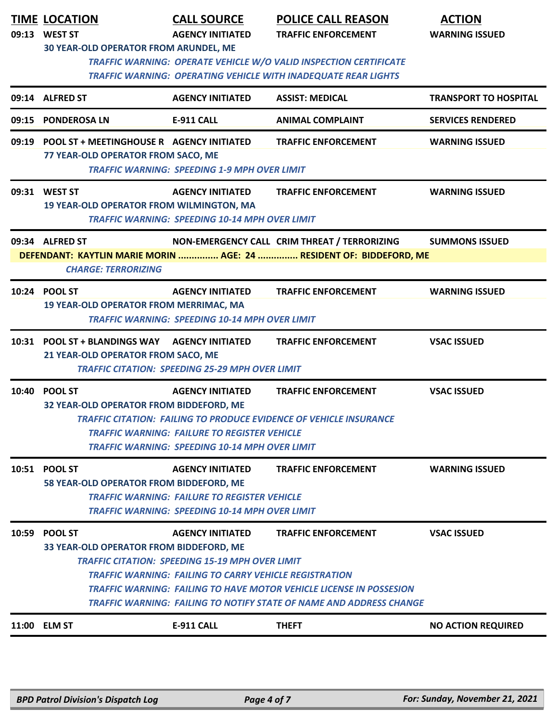|       | <b>TIME LOCATION</b><br>09:13 WEST ST                                                             | <b>CALL SOURCE</b><br><b>AGENCY INITIATED</b>          | <b>POLICE CALL REASON</b><br><b>TRAFFIC ENFORCEMENT</b>                                                                                    | <b>ACTION</b><br><b>WARNING ISSUED</b> |  |  |
|-------|---------------------------------------------------------------------------------------------------|--------------------------------------------------------|--------------------------------------------------------------------------------------------------------------------------------------------|----------------------------------------|--|--|
|       | <b>30 YEAR-OLD OPERATOR FROM ARUNDEL, ME</b>                                                      |                                                        | <b>TRAFFIC WARNING: OPERATE VEHICLE W/O VALID INSPECTION CERTIFICATE</b><br>TRAFFIC WARNING: OPERATING VEHICLE WITH INADEQUATE REAR LIGHTS |                                        |  |  |
|       | 09:14 ALFRED ST                                                                                   | <b>AGENCY INITIATED</b>                                | <b>ASSIST: MEDICAL</b>                                                                                                                     | <b>TRANSPORT TO HOSPITAL</b>           |  |  |
|       | 09:15 PONDEROSA LN                                                                                | <b>E-911 CALL</b>                                      | <b>ANIMAL COMPLAINT</b>                                                                                                                    | <b>SERVICES RENDERED</b>               |  |  |
|       | 09:19 POOL ST + MEETINGHOUSE R AGENCY INITIATED<br>77 YEAR-OLD OPERATOR FROM SACO, ME             | <b>TRAFFIC WARNING: SPEEDING 1-9 MPH OVER LIMIT</b>    | <b>TRAFFIC ENFORCEMENT</b>                                                                                                                 | <b>WARNING ISSUED</b>                  |  |  |
|       | 09:31 WEST ST                                                                                     | <b>AGENCY INITIATED</b>                                | <b>TRAFFIC ENFORCEMENT</b>                                                                                                                 | <b>WARNING ISSUED</b>                  |  |  |
|       | <b>19 YEAR-OLD OPERATOR FROM WILMINGTON, MA</b>                                                   | <b>TRAFFIC WARNING: SPEEDING 10-14 MPH OVER LIMIT</b>  |                                                                                                                                            |                                        |  |  |
|       | 09:34 ALFRED ST                                                                                   |                                                        | NON-EMERGENCY CALL CRIM THREAT / TERRORIZING                                                                                               | <b>SUMMONS ISSUED</b>                  |  |  |
|       | <b>CHARGE: TERRORIZING</b>                                                                        |                                                        | DEFENDANT: KAYTLIN MARIE MORIN  AGE: 24  RESIDENT OF: BIDDEFORD, ME                                                                        |                                        |  |  |
|       | 10:24 POOL ST                                                                                     | <b>AGENCY INITIATED</b>                                | <b>TRAFFIC ENFORCEMENT</b>                                                                                                                 | <b>WARNING ISSUED</b>                  |  |  |
|       | 19 YEAR-OLD OPERATOR FROM MERRIMAC, MA                                                            | <b>TRAFFIC WARNING: SPEEDING 10-14 MPH OVER LIMIT</b>  |                                                                                                                                            |                                        |  |  |
|       | 10:31 POOL ST + BLANDINGS WAY AGENCY INITIATED<br>21 YEAR-OLD OPERATOR FROM SACO, ME              |                                                        | <b>TRAFFIC ENFORCEMENT</b>                                                                                                                 | <b>VSAC ISSUED</b>                     |  |  |
|       |                                                                                                   | <b>TRAFFIC CITATION: SPEEDING 25-29 MPH OVER LIMIT</b> |                                                                                                                                            |                                        |  |  |
| 10:40 | <b>POOL ST</b>                                                                                    | <b>AGENCY INITIATED</b>                                | <b>TRAFFIC ENFORCEMENT</b>                                                                                                                 | <b>VSAC ISSUED</b>                     |  |  |
|       | 32 YEAR-OLD OPERATOR FROM BIDDEFORD, ME                                                           |                                                        | <b>TRAFFIC CITATION: FAILING TO PRODUCE EVIDENCE OF VEHICLE INSURANCE</b>                                                                  |                                        |  |  |
|       |                                                                                                   | <b>TRAFFIC WARNING: FAILURE TO REGISTER VEHICLE</b>    |                                                                                                                                            |                                        |  |  |
|       |                                                                                                   | <b>TRAFFIC WARNING: SPEEDING 10-14 MPH OVER LIMIT</b>  |                                                                                                                                            |                                        |  |  |
|       | 10:51 POOL ST<br>58 YEAR-OLD OPERATOR FROM BIDDEFORD, ME                                          | <b>AGENCY INITIATED</b>                                | <b>TRAFFIC ENFORCEMENT</b>                                                                                                                 | <b>WARNING ISSUED</b>                  |  |  |
|       |                                                                                                   | <b>TRAFFIC WARNING: FAILURE TO REGISTER VEHICLE</b>    |                                                                                                                                            |                                        |  |  |
|       | <b>TRAFFIC WARNING: SPEEDING 10-14 MPH OVER LIMIT</b>                                             |                                                        |                                                                                                                                            |                                        |  |  |
| 10:59 | <b>POOL ST</b>                                                                                    | <b>AGENCY INITIATED</b>                                | <b>TRAFFIC ENFORCEMENT</b>                                                                                                                 | <b>VSAC ISSUED</b>                     |  |  |
|       | 33 YEAR-OLD OPERATOR FROM BIDDEFORD, ME<br><b>TRAFFIC CITATION: SPEEDING 15-19 MPH OVER LIMIT</b> |                                                        |                                                                                                                                            |                                        |  |  |
|       | <b>TRAFFIC WARNING: FAILING TO CARRY VEHICLE REGISTRATION</b>                                     |                                                        |                                                                                                                                            |                                        |  |  |
|       | TRAFFIC WARNING: FAILING TO HAVE MOTOR VEHICLE LICENSE IN POSSESION                               |                                                        |                                                                                                                                            |                                        |  |  |
|       |                                                                                                   |                                                        | TRAFFIC WARNING: FAILING TO NOTIFY STATE OF NAME AND ADDRESS CHANGE                                                                        |                                        |  |  |
|       | 11:00 ELM ST                                                                                      | <b>E-911 CALL</b>                                      | <b>THEFT</b>                                                                                                                               | <b>NO ACTION REQUIRED</b>              |  |  |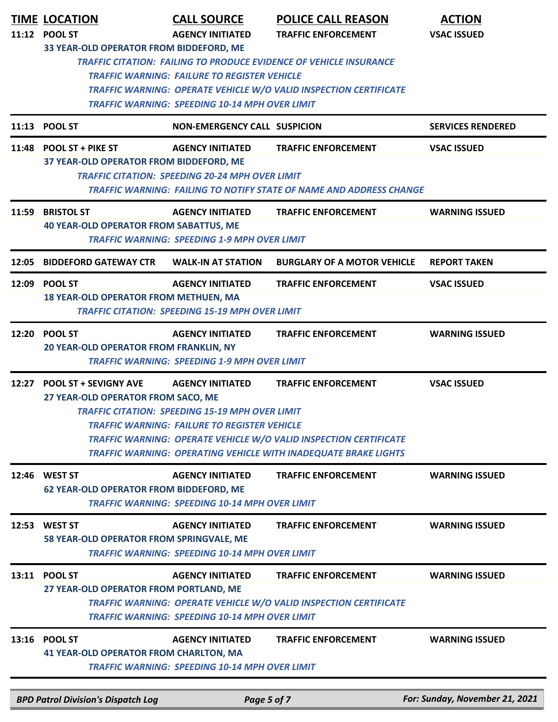|       | <b>TIME LOCATION</b><br>11:12 POOL ST<br>33 YEAR-OLD OPERATOR FROM BIDDEFORD, ME                                                                                                                                                                                                                                                                                                                                         | <b>CALL SOURCE</b><br><b>AGENCY INITIATED</b><br><b>TRAFFIC WARNING: FAILURE TO REGISTER VEHICLE</b><br><b>TRAFFIC WARNING: SPEEDING 10-14 MPH OVER LIMIT</b> | <b>POLICE CALL REASON</b><br><b>TRAFFIC ENFORCEMENT</b><br>TRAFFIC CITATION: FAILING TO PRODUCE EVIDENCE OF VEHICLE INSURANCE<br><b>TRAFFIC WARNING: OPERATE VEHICLE W/O VALID INSPECTION CERTIFICATE</b> | <b>ACTION</b><br><b>VSAC ISSUED</b> |  |
|-------|--------------------------------------------------------------------------------------------------------------------------------------------------------------------------------------------------------------------------------------------------------------------------------------------------------------------------------------------------------------------------------------------------------------------------|---------------------------------------------------------------------------------------------------------------------------------------------------------------|-----------------------------------------------------------------------------------------------------------------------------------------------------------------------------------------------------------|-------------------------------------|--|
|       | 11:13 POOL ST                                                                                                                                                                                                                                                                                                                                                                                                            | <b>NON-EMERGENCY CALL SUSPICION</b>                                                                                                                           |                                                                                                                                                                                                           | <b>SERVICES RENDERED</b>            |  |
|       | 11:48 POOL ST + PIKE ST<br>37 YEAR-OLD OPERATOR FROM BIDDEFORD, ME                                                                                                                                                                                                                                                                                                                                                       | <b>AGENCY INITIATED</b><br><b>TRAFFIC CITATION: SPEEDING 20-24 MPH OVER LIMIT</b>                                                                             | <b>TRAFFIC ENFORCEMENT</b><br><b>TRAFFIC WARNING: FAILING TO NOTIFY STATE OF NAME AND ADDRESS CHANGE</b>                                                                                                  | <b>VSAC ISSUED</b>                  |  |
|       | 11:59 BRISTOL ST<br><b>40 YEAR-OLD OPERATOR FROM SABATTUS, ME</b>                                                                                                                                                                                                                                                                                                                                                        | <b>AGENCY INITIATED</b><br><b>TRAFFIC WARNING: SPEEDING 1-9 MPH OVER LIMIT</b>                                                                                | <b>TRAFFIC ENFORCEMENT</b>                                                                                                                                                                                | <b>WARNING ISSUED</b>               |  |
| 12:05 | <b>BIDDEFORD GATEWAY CTR</b>                                                                                                                                                                                                                                                                                                                                                                                             | <b>WALK-IN AT STATION</b>                                                                                                                                     | <b>BURGLARY OF A MOTOR VEHICLE</b>                                                                                                                                                                        | <b>REPORT TAKEN</b>                 |  |
|       | 12:09 POOL ST<br><b>18 YEAR-OLD OPERATOR FROM METHUEN, MA</b>                                                                                                                                                                                                                                                                                                                                                            | <b>AGENCY INITIATED</b><br><b>TRAFFIC CITATION: SPEEDING 15-19 MPH OVER LIMIT</b>                                                                             | <b>TRAFFIC ENFORCEMENT</b>                                                                                                                                                                                | <b>VSAC ISSUED</b>                  |  |
|       | 12:20 POOL ST<br><b>20 YEAR-OLD OPERATOR FROM FRANKLIN, NY</b>                                                                                                                                                                                                                                                                                                                                                           | <b>AGENCY INITIATED</b><br><b>TRAFFIC WARNING: SPEEDING 1-9 MPH OVER LIMIT</b>                                                                                | <b>TRAFFIC ENFORCEMENT</b>                                                                                                                                                                                | <b>WARNING ISSUED</b>               |  |
| 12:27 | <b>POOL ST + SEVIGNY AVE</b><br><b>TRAFFIC ENFORCEMENT</b><br><b>AGENCY INITIATED</b><br><b>VSAC ISSUED</b><br>27 YEAR-OLD OPERATOR FROM SACO, ME<br><b>TRAFFIC CITATION: SPEEDING 15-19 MPH OVER LIMIT</b><br><b>TRAFFIC WARNING: FAILURE TO REGISTER VEHICLE</b><br><b>TRAFFIC WARNING: OPERATE VEHICLE W/O VALID INSPECTION CERTIFICATE</b><br><b>TRAFFIC WARNING: OPERATING VEHICLE WITH INADEQUATE BRAKE LIGHTS</b> |                                                                                                                                                               |                                                                                                                                                                                                           |                                     |  |
|       | 12:46 WEST ST<br><b>62 YEAR-OLD OPERATOR FROM BIDDEFORD, ME</b>                                                                                                                                                                                                                                                                                                                                                          | <b>AGENCY INITIATED</b><br><b>TRAFFIC WARNING: SPEEDING 10-14 MPH OVER LIMIT</b>                                                                              | <b>TRAFFIC ENFORCEMENT</b>                                                                                                                                                                                | <b>WARNING ISSUED</b>               |  |
| 12:53 | <b>WEST ST</b><br>58 YEAR-OLD OPERATOR FROM SPRINGVALE, ME                                                                                                                                                                                                                                                                                                                                                               | <b>AGENCY INITIATED</b><br><b>TRAFFIC WARNING: SPEEDING 10-14 MPH OVER LIMIT</b>                                                                              | <b>TRAFFIC ENFORCEMENT</b>                                                                                                                                                                                | <b>WARNING ISSUED</b>               |  |
|       | 13:11 POOL ST<br>27 YEAR-OLD OPERATOR FROM PORTLAND, ME                                                                                                                                                                                                                                                                                                                                                                  | <b>AGENCY INITIATED</b><br><b>TRAFFIC WARNING: SPEEDING 10-14 MPH OVER LIMIT</b>                                                                              | <b>TRAFFIC ENFORCEMENT</b><br><b>TRAFFIC WARNING: OPERATE VEHICLE W/O VALID INSPECTION CERTIFICATE</b>                                                                                                    | <b>WARNING ISSUED</b>               |  |
|       | 13:16 POOL ST<br><b>41 YEAR-OLD OPERATOR FROM CHARLTON, MA</b>                                                                                                                                                                                                                                                                                                                                                           | <b>AGENCY INITIATED</b><br><b>TRAFFIC WARNING: SPEEDING 10-14 MPH OVER LIMIT</b>                                                                              | <b>TRAFFIC ENFORCEMENT</b>                                                                                                                                                                                | <b>WARNING ISSUED</b>               |  |
|       | <b>BPD Patrol Division's Dispatch Log</b>                                                                                                                                                                                                                                                                                                                                                                                | Page 5 of 7                                                                                                                                                   |                                                                                                                                                                                                           | For: Sunday, November 21, 2021      |  |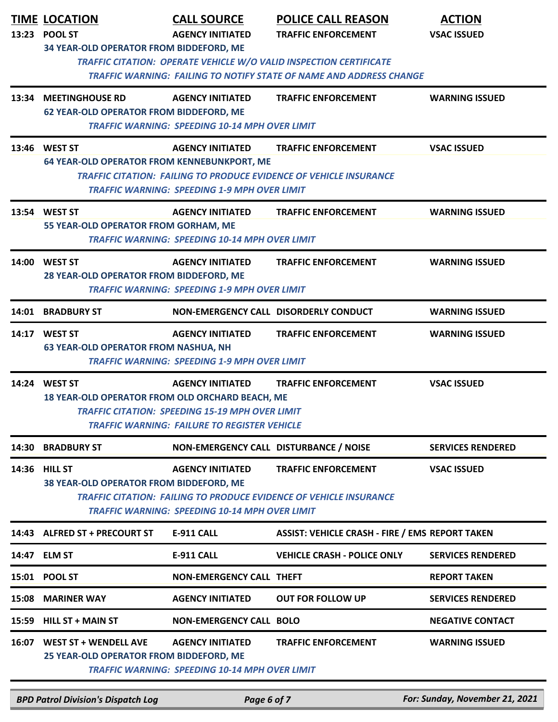| 13:23 | <b>TIME LOCATION</b><br><b>POOL ST</b><br>34 YEAR-OLD OPERATOR FROM BIDDEFORD, ME | <b>CALL SOURCE</b><br><b>AGENCY INITIATED</b>                                                                                            | <b>POLICE CALL REASON</b><br><b>TRAFFIC ENFORCEMENT</b><br>TRAFFIC CITATION: OPERATE VEHICLE W/O VALID INSPECTION CERTIFICATE<br><b>TRAFFIC WARNING: FAILING TO NOTIFY STATE OF NAME AND ADDRESS CHANGE</b> | <b>ACTION</b><br><b>VSAC ISSUED</b> |
|-------|-----------------------------------------------------------------------------------|------------------------------------------------------------------------------------------------------------------------------------------|-------------------------------------------------------------------------------------------------------------------------------------------------------------------------------------------------------------|-------------------------------------|
| 13:34 | <b>MEETINGHOUSE RD</b><br><b>62 YEAR-OLD OPERATOR FROM BIDDEFORD, ME</b>          | <b>AGENCY INITIATED</b><br><b>TRAFFIC WARNING: SPEEDING 10-14 MPH OVER LIMIT</b>                                                         | <b>TRAFFIC ENFORCEMENT</b>                                                                                                                                                                                  | <b>WARNING ISSUED</b>               |
|       | 13:46 WEST ST<br><b>64 YEAR-OLD OPERATOR FROM KENNEBUNKPORT, ME</b>               | <b>AGENCY INITIATED</b><br>TRAFFIC WARNING: SPEEDING 1-9 MPH OVER LIMIT                                                                  | <b>TRAFFIC ENFORCEMENT</b><br><b>TRAFFIC CITATION: FAILING TO PRODUCE EVIDENCE OF VEHICLE INSURANCE</b>                                                                                                     | <b>VSAC ISSUED</b>                  |
|       | 13:54 WEST ST<br>55 YEAR-OLD OPERATOR FROM GORHAM, ME                             | <b>AGENCY INITIATED</b><br><b>TRAFFIC WARNING: SPEEDING 10-14 MPH OVER LIMIT</b>                                                         | <b>TRAFFIC ENFORCEMENT</b>                                                                                                                                                                                  | <b>WARNING ISSUED</b>               |
| 14:00 | <b>WEST ST</b><br>28 YEAR-OLD OPERATOR FROM BIDDEFORD, ME                         | <b>AGENCY INITIATED</b><br><b>TRAFFIC WARNING: SPEEDING 1-9 MPH OVER LIMIT</b>                                                           | <b>TRAFFIC ENFORCEMENT</b>                                                                                                                                                                                  | <b>WARNING ISSUED</b>               |
| 14:01 | <b>BRADBURY ST</b>                                                                | NON-EMERGENCY CALL DISORDERLY CONDUCT                                                                                                    |                                                                                                                                                                                                             | <b>WARNING ISSUED</b>               |
|       | 14:17 WEST ST<br><b>63 YEAR-OLD OPERATOR FROM NASHUA, NH</b>                      | <b>AGENCY INITIATED</b><br><b>TRAFFIC WARNING: SPEEDING 1-9 MPH OVER LIMIT</b>                                                           | <b>TRAFFIC ENFORCEMENT</b>                                                                                                                                                                                  | <b>WARNING ISSUED</b>               |
|       | 14:24 WEST ST<br>18 YEAR-OLD OPERATOR FROM OLD ORCHARD BEACH, ME                  | <b>AGENCY INITIATED</b><br><b>TRAFFIC CITATION: SPEEDING 15-19 MPH OVER LIMIT</b><br><b>TRAFFIC WARNING: FAILURE TO REGISTER VEHICLE</b> | <b>TRAFFIC ENFORCEMENT</b>                                                                                                                                                                                  | <b>VSAC ISSUED</b>                  |
| 14:30 | <b>BRADBURY ST</b>                                                                | NON-EMERGENCY CALL DISTURBANCE / NOISE                                                                                                   |                                                                                                                                                                                                             | <b>SERVICES RENDERED</b>            |
| 14:36 | <b>HILL ST</b><br>38 YEAR-OLD OPERATOR FROM BIDDEFORD, ME                         | <b>AGENCY INITIATED</b><br>TRAFFIC WARNING: SPEEDING 10-14 MPH OVER LIMIT                                                                | <b>TRAFFIC ENFORCEMENT</b><br><b>TRAFFIC CITATION: FAILING TO PRODUCE EVIDENCE OF VEHICLE INSURANCE</b>                                                                                                     | <b>VSAC ISSUED</b>                  |
|       | 14:43 ALFRED ST + PRECOURT ST                                                     | <b>E-911 CALL</b>                                                                                                                        | <b>ASSIST: VEHICLE CRASH - FIRE / EMS REPORT TAKEN</b>                                                                                                                                                      |                                     |
|       | 14:47 ELM ST                                                                      | <b>E-911 CALL</b>                                                                                                                        | <b>VEHICLE CRASH - POLICE ONLY</b>                                                                                                                                                                          | <b>SERVICES RENDERED</b>            |
|       | 15:01 POOL ST                                                                     | <b>NON-EMERGENCY CALL THEFT</b>                                                                                                          |                                                                                                                                                                                                             | <b>REPORT TAKEN</b>                 |
| 15:08 | <b>MARINER WAY</b>                                                                | <b>AGENCY INITIATED</b>                                                                                                                  | <b>OUT FOR FOLLOW UP</b>                                                                                                                                                                                    | <b>SERVICES RENDERED</b>            |
|       | 15:59 HILL ST + MAIN ST                                                           | <b>NON-EMERGENCY CALL BOLO</b>                                                                                                           |                                                                                                                                                                                                             | <b>NEGATIVE CONTACT</b>             |
| 16:07 | <b>WEST ST + WENDELL AVE</b><br>25 YEAR-OLD OPERATOR FROM BIDDEFORD, ME           | <b>AGENCY INITIATED</b><br><b>TRAFFIC WARNING: SPEEDING 10-14 MPH OVER LIMIT</b>                                                         | <b>TRAFFIC ENFORCEMENT</b>                                                                                                                                                                                  | <b>WARNING ISSUED</b>               |

*BPD Patrol Division's Dispatch Log Page 6 of 7 For: Sunday, November 21, 2021*